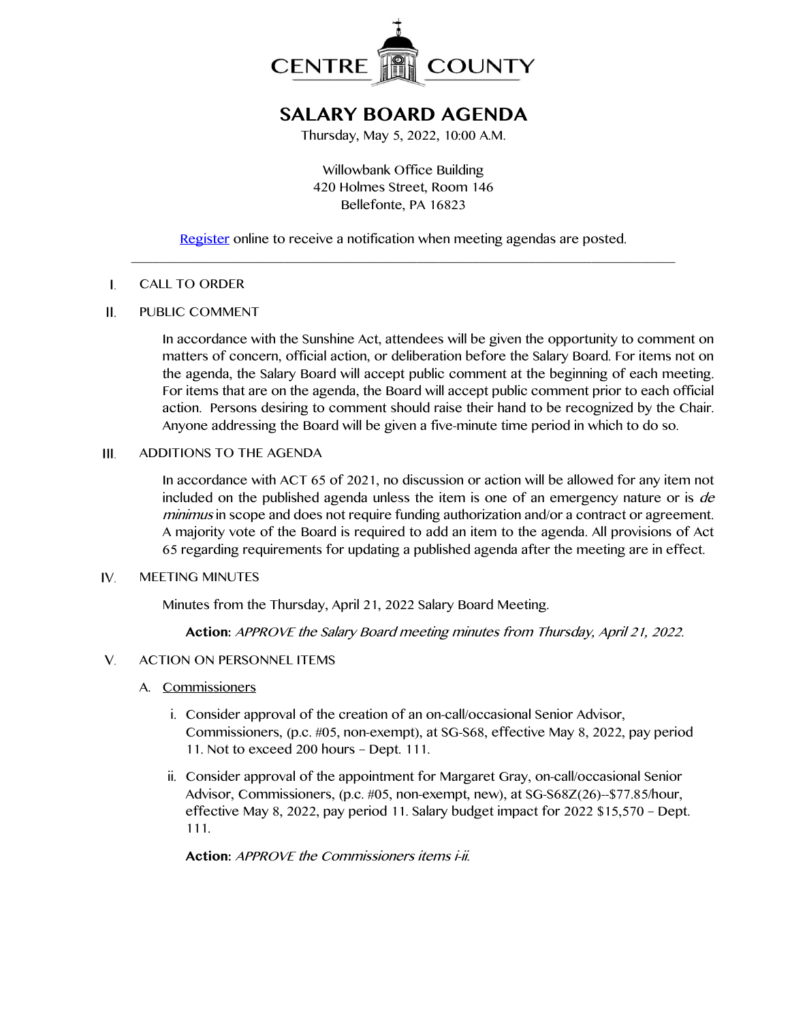

# **SALARY BOARD AGENDA**

Thursday, May 5, 2022, 10:00 A.M.

Willowbank Office Building 420 Holmes Street, Room 146 Bellefonte, PA 16823

[Register](http://www.centrecountypa.gov/AgendaCenter) online to receive a notification when meeting agendas are posted. \_\_\_\_\_\_\_\_\_\_\_\_\_\_\_\_\_\_\_\_\_\_\_\_\_\_\_\_\_\_\_\_\_\_\_\_\_\_\_\_\_\_\_\_\_\_\_\_\_\_\_\_\_\_\_\_\_\_\_\_\_\_\_\_\_\_\_\_\_\_\_\_\_\_\_\_\_\_

#### $\mathbf{I}$ . CALL TO ORDER

#### $II.$ PUBLIC COMMENT

In accordance with the Sunshine Act, attendees will be given the opportunity to comment on matters of concern, official action, or deliberation before the Salary Board. For items not on the agenda, the Salary Board will accept public comment at the beginning of each meeting. For items that are on the agenda, the Board will accept public comment prior to each official action. Persons desiring to comment should raise their hand to be recognized by the Chair. Anyone addressing the Board will be given a five-minute time period in which to do so.

#### ADDITIONS TO THE AGENDA  $III.$

In accordance with ACT 65 of 2021, no discussion or action will be allowed for any item not included on the published agenda unless the item is one of an emergency nature or is de minimus in scope and does not require funding authorization and/or a contract or agreement. A majority vote of the Board is required to add an item to the agenda. All provisions of Act 65 regarding requirements for updating a published agenda after the meeting are in effect.

#### IV. MEETING MINUTES

Minutes from the Thursday, April 21, 2022 Salary Board Meeting.

**Action:** APPROVE the Salary Board meeting minutes from Thursday, April 21, 2022.

#### V. ACTION ON PERSONNEL ITEMS

- A. Commissioners
	- i. Consider approval of the creation of an on-call/occasional Senior Advisor, Commissioners, (p.c. #05, non-exempt), at SG-S68, effective May 8, 2022, pay period 11. Not to exceed 200 hours – Dept. 111.
	- ii. Consider approval of the appointment for Margaret Gray, on-call/occasional Senior Advisor, Commissioners, (p.c. #05, non-exempt, new), at SG-S68Z(26)--\$77.85/hour, effective May 8, 2022, pay period 11. Salary budget impact for 2022 \$15,570 – Dept. 111.

**Action:** APPROVE the Commissioners items i-ii.